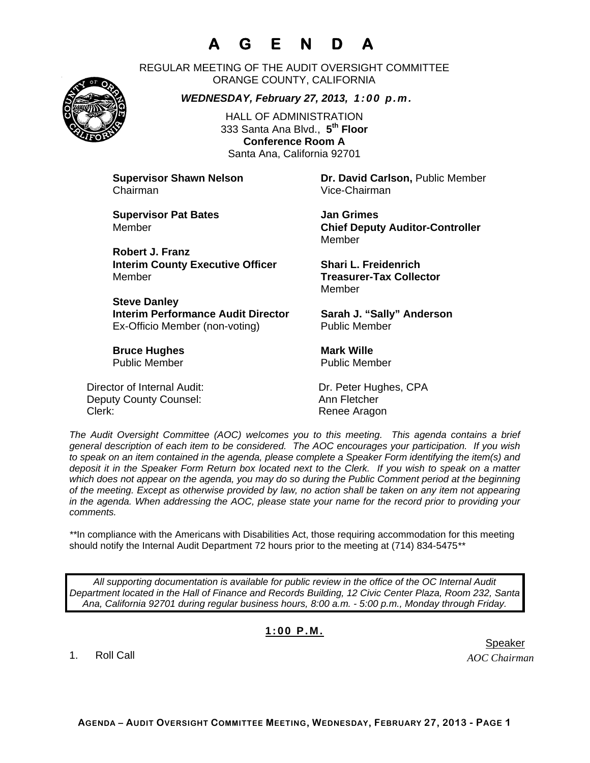## **A G E N D A**

REGULAR MEETING OF THE AUDIT OVERSIGHT COMMITTEE ORANGE COUNTY, CALIFORNIA

*WEDNESDAY, February 27, 2013, 1:00 p.m.*

HALL OF ADMINISTRATION 333 Santa Ana Blvd., **5th Floor Conference Room A**  Santa Ana, California 92701

Chairman Vice-Chairman

**Supervisor Pat Bates**  Jan Grimes

**Robert J. Franz Interim County Executive Officer Shari L. Freidenrich**  Member **Treasurer-Tax Collector** 

**Steve Danley Interim Performance Audit Director Sarah J. "Sally" Anderson** Ex-Officio Member (non-voting) Public Member

**Bruce Hughes Mark Wille Construction Construction Mark Wille** Public Member **Public Member** 

Director of Internal Audit: Dr. Peter Hughes, CPA Deputy County Counsel: Ann Fletcher Clerk: Clerk: Clerk: Clerk: Renee Aragon

**Supervisor Shawn Nelson Dr. David Carlson,** Public Member

Member **Chief Deputy Auditor-Controller**  Member

Member

*The Audit Oversight Committee (AOC) welcomes you to this meeting. This agenda contains a brief general description of each item to be considered. The AOC encourages your participation. If you wish to speak on an item contained in the agenda, please complete a Speaker Form identifying the item(s) and deposit it in the Speaker Form Return box located next to the Clerk. If you wish to speak on a matter which does not appear on the agenda, you may do so during the Public Comment period at the beginning of the meeting. Except as otherwise provided by law, no action shall be taken on any item not appearing in the agenda. When addressing the AOC, please state your name for the record prior to providing your comments.* 

*\*\**In compliance with the Americans with Disabilities Act, those requiring accommodation for this meeting should notify the Internal Audit Department 72 hours prior to the meeting at (714) 834-5475*\*\** 

*All supporting documentation is available for public review in the office of the OC Internal Audit Department located in the Hall of Finance and Records Building, 12 Civic Center Plaza, Room 232, Santa Ana, California 92701 during regular business hours, 8:00 a.m. - 5:00 p.m., Monday through Friday.* 

## **1:00 P.M.**

1. Roll Call

er in de staat de staat de bestiet in de staat de staat de staat de Speaker en de Speaker in de Speaker en de

*AOC Chairman*